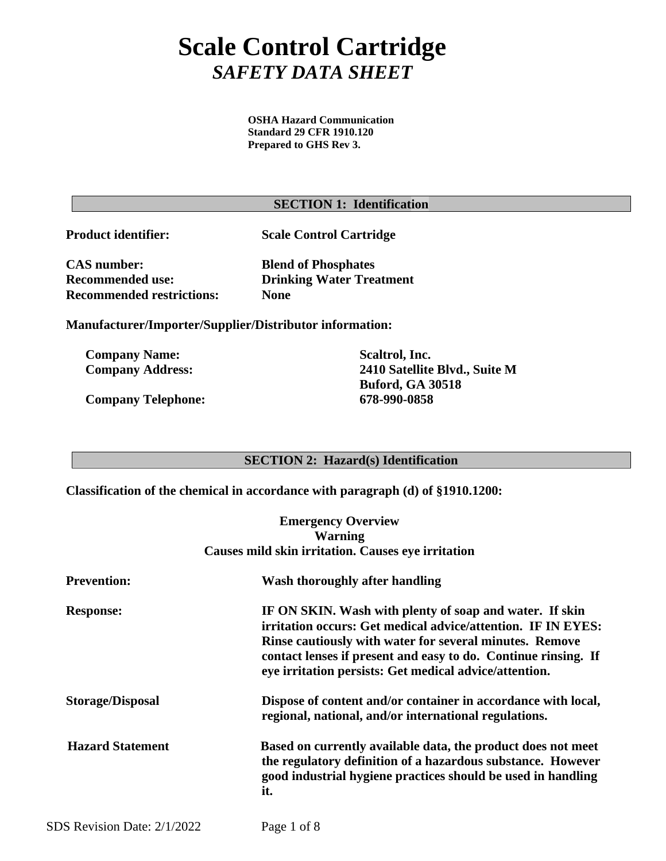# **Scale Control Cartridge** *SAFETY DATA SHEET*

**OSHA Hazard Communication Standard 29 CFR 1910.120 Prepared to GHS Rev 3.**

## **SECTION 1: Identification**

**Product identifier: Scale Control Cartridge**

**CAS number: Blend of Phosphates Recommended restrictions: None**

 **Recommended use: Drinking Water Treatment** 

**Manufacturer/Importer/Supplier/Distributor information:**

**Company Name: Scaltrol, Inc.**

**Company Telephone: 678-990-0858**

**Company Address: 2410 Satellite Blvd., Suite M Buford, GA 30518**

## **SECTION 2: Hazard(s) Identification**

**Classification of the chemical in accordance with paragraph (d) of §1910.1200:**

**Emergency Overview Warning Causes mild skin irritation. Causes eye irritation**

| <b>Prevention:</b>          | Wash thoroughly after handling                                                                                                                                                                                                                                                                                 |
|-----------------------------|----------------------------------------------------------------------------------------------------------------------------------------------------------------------------------------------------------------------------------------------------------------------------------------------------------------|
| <b>Response:</b>            | IF ON SKIN. Wash with plenty of soap and water. If skin<br>irritation occurs: Get medical advice/attention. IF IN EYES:<br>Rinse cautiously with water for several minutes. Remove<br>contact lenses if present and easy to do. Continue rinsing. If<br>eye irritation persists: Get medical advice/attention. |
| <b>Storage/Disposal</b>     | Dispose of content and/or container in accordance with local,<br>regional, national, and/or international regulations.                                                                                                                                                                                         |
| <b>Hazard Statement</b>     | Based on currently available data, the product does not meet<br>the regulatory definition of a hazardous substance. However<br>good industrial hygiene practices should be used in handling<br>it.                                                                                                             |
| SDS Revision Date: 2/1/2022 | Page 1 of 8                                                                                                                                                                                                                                                                                                    |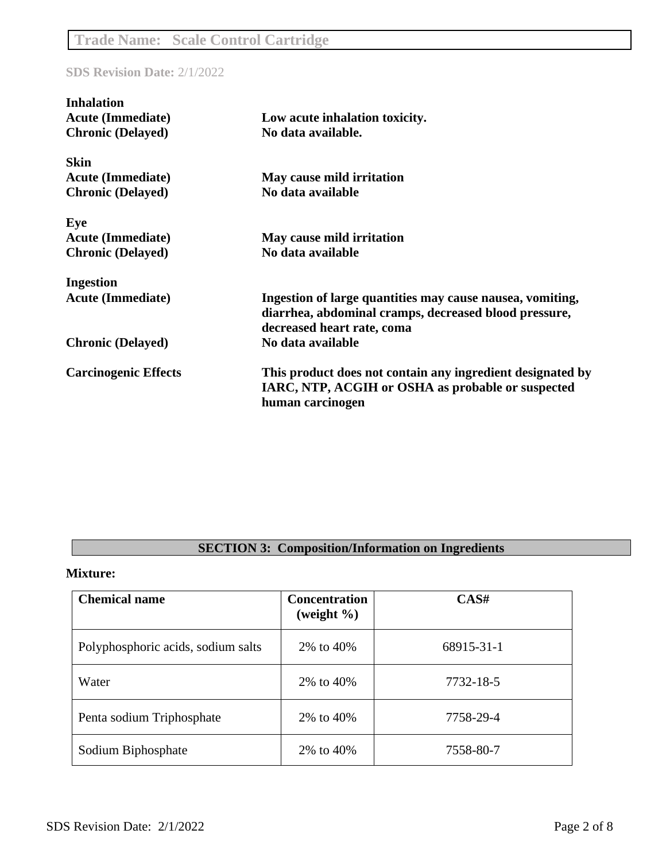| <b>Inhalation</b>           |                                                            |
|-----------------------------|------------------------------------------------------------|
| <b>Acute (Immediate)</b>    | Low acute inhalation toxicity.                             |
| <b>Chronic (Delayed)</b>    | No data available.                                         |
| <b>Skin</b>                 |                                                            |
| <b>Acute (Immediate)</b>    | May cause mild irritation                                  |
| <b>Chronic (Delayed)</b>    | No data available                                          |
| Eye                         |                                                            |
| <b>Acute (Immediate)</b>    | May cause mild irritation                                  |
| <b>Chronic (Delayed)</b>    | No data available                                          |
| <b>Ingestion</b>            |                                                            |
| <b>Acute (Immediate)</b>    | Ingestion of large quantities may cause nausea, vomiting,  |
|                             | diarrhea, abdominal cramps, decreased blood pressure,      |
|                             | decreased heart rate, coma                                 |
| <b>Chronic (Delayed)</b>    | No data available                                          |
| <b>Carcinogenic Effects</b> | This product does not contain any ingredient designated by |
|                             | IARC, NTP, ACGIH or OSHA as probable or suspected          |
|                             | human carcinogen                                           |

## **SECTION 3: Composition/Information on Ingredients**

#### **Mixture:**

| <b>Chemical name</b>               | <b>Concentration</b><br>(weight $\%$ ) | CAS#       |
|------------------------------------|----------------------------------------|------------|
| Polyphosphoric acids, sodium salts | 2\% to 40\%                            | 68915-31-1 |
| Water                              | 2\% to 40\%                            | 7732-18-5  |
| Penta sodium Triphosphate          | 2% to 40%                              | 7758-29-4  |
| Sodium Biphosphate                 | 2% to 40%                              | 7558-80-7  |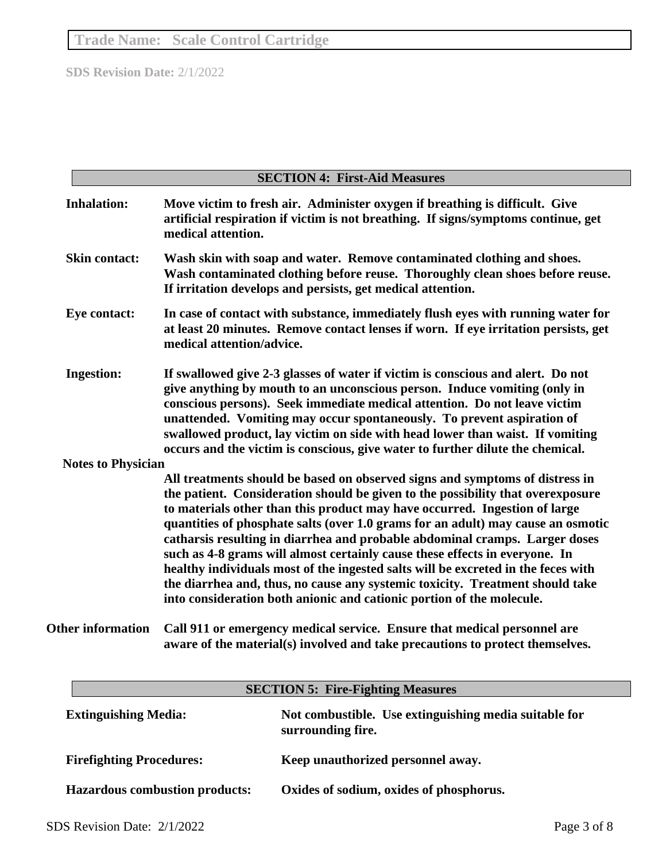|                             | <b>SECTION 4: First-Aid Measures</b>                                                                                                                                                                                                                                                                                                                                                                                                                                                                                                                                                                                                                                                                                                           |
|-----------------------------|------------------------------------------------------------------------------------------------------------------------------------------------------------------------------------------------------------------------------------------------------------------------------------------------------------------------------------------------------------------------------------------------------------------------------------------------------------------------------------------------------------------------------------------------------------------------------------------------------------------------------------------------------------------------------------------------------------------------------------------------|
| <b>Inhalation:</b>          | Move victim to fresh air. Administer oxygen if breathing is difficult. Give<br>artificial respiration if victim is not breathing. If signs/symptoms continue, get<br>medical attention.                                                                                                                                                                                                                                                                                                                                                                                                                                                                                                                                                        |
| <b>Skin contact:</b>        | Wash skin with soap and water. Remove contaminated clothing and shoes.<br>Wash contaminated clothing before reuse. Thoroughly clean shoes before reuse.<br>If irritation develops and persists, get medical attention.                                                                                                                                                                                                                                                                                                                                                                                                                                                                                                                         |
| <b>Eye contact:</b>         | In case of contact with substance, immediately flush eyes with running water for<br>at least 20 minutes. Remove contact lenses if worn. If eye irritation persists, get<br>medical attention/advice.                                                                                                                                                                                                                                                                                                                                                                                                                                                                                                                                           |
| <b>Ingestion:</b>           | If swallowed give 2-3 glasses of water if victim is conscious and alert. Do not<br>give anything by mouth to an unconscious person. Induce vomiting (only in<br>conscious persons). Seek immediate medical attention. Do not leave victim<br>unattended. Vomiting may occur spontaneously. To prevent aspiration of<br>swallowed product, lay victim on side with head lower than waist. If vomiting<br>occurs and the victim is conscious, give water to further dilute the chemical.                                                                                                                                                                                                                                                         |
| <b>Notes to Physician</b>   |                                                                                                                                                                                                                                                                                                                                                                                                                                                                                                                                                                                                                                                                                                                                                |
|                             | All treatments should be based on observed signs and symptoms of distress in<br>the patient. Consideration should be given to the possibility that overexposure<br>to materials other than this product may have occurred. Ingestion of large<br>quantities of phosphate salts (over 1.0 grams for an adult) may cause an osmotic<br>catharsis resulting in diarrhea and probable abdominal cramps. Larger doses<br>such as 4-8 grams will almost certainly cause these effects in everyone. In<br>healthy individuals most of the ingested salts will be excreted in the feces with<br>the diarrhea and, thus, no cause any systemic toxicity. Treatment should take<br>into consideration both anionic and cationic portion of the molecule. |
| <b>Other information</b>    | Call 911 or emergency medical service. Ensure that medical personnel are<br>aware of the material(s) involved and take precautions to protect themselves.                                                                                                                                                                                                                                                                                                                                                                                                                                                                                                                                                                                      |
|                             | <b>SECTION 5: Fire-Fighting Measures</b>                                                                                                                                                                                                                                                                                                                                                                                                                                                                                                                                                                                                                                                                                                       |
| <b>Extinguishing Media:</b> | Not combustible. Use extinguishing media suitable for<br>surrounding fire.                                                                                                                                                                                                                                                                                                                                                                                                                                                                                                                                                                                                                                                                     |

**Hazardous combustion products: Oxides of sodium, oxides of phosphorus.**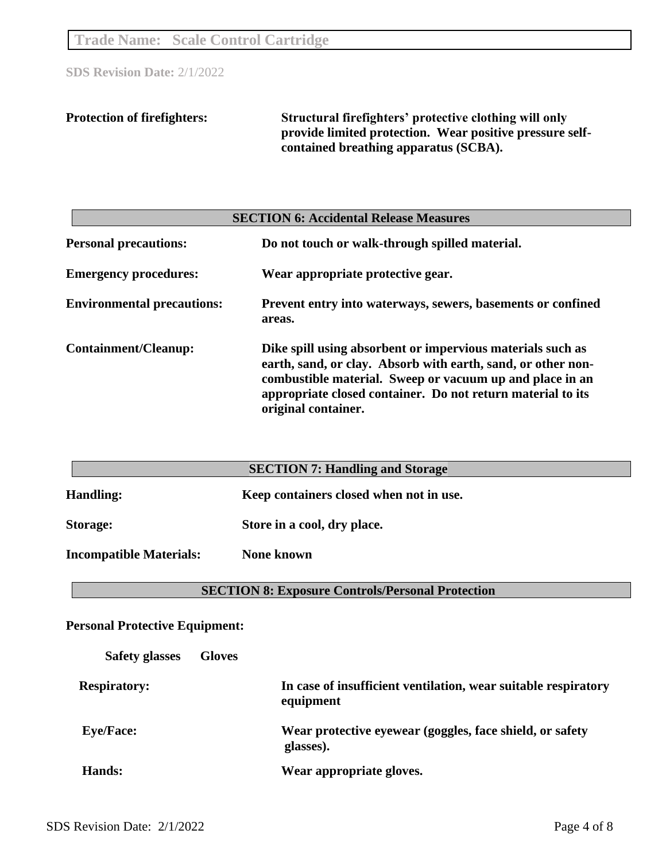**Trade Name: Scale Control Cartridge**

**SDS Revision Date:** 2/1/2022

**Protection of firefighters: Structural firefighters' protective clothing will only provide limited protection. Wear positive pressure selfcontained breathing apparatus (SCBA).**

| <b>SECTION 6: Accidental Release Measures</b> |                                                                                                                                                                                                                                                                              |  |
|-----------------------------------------------|------------------------------------------------------------------------------------------------------------------------------------------------------------------------------------------------------------------------------------------------------------------------------|--|
| <b>Personal precautions:</b>                  | Do not touch or walk-through spilled material.                                                                                                                                                                                                                               |  |
| <b>Emergency procedures:</b>                  | Wear appropriate protective gear.                                                                                                                                                                                                                                            |  |
| <b>Environmental precautions:</b>             | Prevent entry into waterways, sewers, basements or confined<br>areas.                                                                                                                                                                                                        |  |
| <b>Containment/Cleanup:</b>                   | Dike spill using absorbent or impervious materials such as<br>earth, sand, or clay. Absorb with earth, sand, or other non-<br>combustible material. Sweep or vacuum up and place in an<br>appropriate closed container. Do not return material to its<br>original container. |  |

| <b>SECTION 7: Handling and Storage</b> |                                         |  |
|----------------------------------------|-----------------------------------------|--|
| <b>Handling:</b>                       | Keep containers closed when not in use. |  |
| Storage:                               | Store in a cool, dry place.             |  |
| <b>Incompatible Materials:</b>         | <b>None known</b>                       |  |

**SECTION 8: Exposure Controls/Personal Protection**

**Personal Protective Equipment:**

| <b>Safety glasses</b> | <b>Gloves</b> |                                                                             |
|-----------------------|---------------|-----------------------------------------------------------------------------|
| <b>Respiratory:</b>   |               | In case of insufficient ventilation, wear suitable respiratory<br>equipment |
| <b>Eye/Face:</b>      |               | Wear protective eyewear (goggles, face shield, or safety<br>glasses).       |
| Hands:                |               | Wear appropriate gloves.                                                    |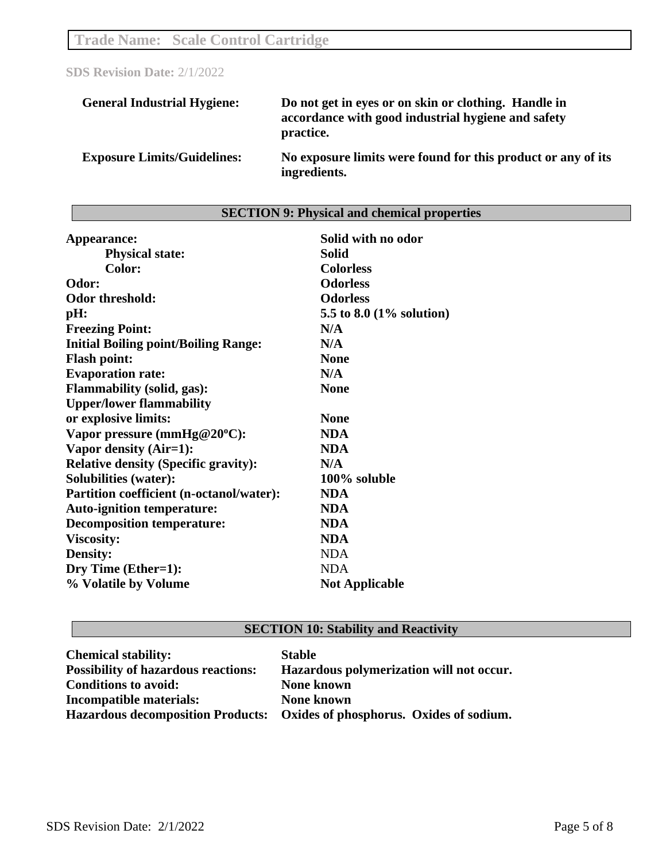| <b>General Industrial Hygiene:</b> | Do not get in eyes or on skin or clothing. Handle in<br>accordance with good industrial hygiene and safety<br>practice. |
|------------------------------------|-------------------------------------------------------------------------------------------------------------------------|
| <b>Exposure Limits/Guidelines:</b> | No exposure limits were found for this product or any of its<br>ingredients.                                            |

# **SECTION 9: Physical and chemical properties**

| Appearance:                                     | Solid with no odor       |
|-------------------------------------------------|--------------------------|
| <b>Physical state:</b>                          | <b>Solid</b>             |
| Color:                                          | <b>Colorless</b>         |
| Odor:                                           | <b>Odorless</b>          |
| <b>Odor threshold:</b>                          | <b>Odorless</b>          |
| pH:                                             | 5.5 to 8.0 (1% solution) |
| <b>Freezing Point:</b>                          | N/A                      |
| <b>Initial Boiling point/Boiling Range:</b>     | N/A                      |
| <b>Flash point:</b>                             | <b>None</b>              |
| <b>Evaporation rate:</b>                        | N/A                      |
| <b>Flammability (solid, gas):</b>               | <b>None</b>              |
| <b>Upper/lower flammability</b>                 |                          |
| or explosive limits:                            | <b>None</b>              |
| Vapor pressure (mmHg@20°C):                     | <b>NDA</b>               |
| Vapor density (Air=1):                          | <b>NDA</b>               |
| <b>Relative density (Specific gravity):</b>     | N/A                      |
| <b>Solubilities (water):</b>                    | 100% soluble             |
| <b>Partition coefficient (n-octanol/water):</b> | <b>NDA</b>               |
| <b>Auto-ignition temperature:</b>               | <b>NDA</b>               |
| <b>Decomposition temperature:</b>               | <b>NDA</b>               |
| <b>Viscosity:</b>                               | <b>NDA</b>               |
| Density:                                        | <b>NDA</b>               |
| Dry Time (Ether=1):                             | <b>NDA</b>               |
| % Volatile by Volume                            | <b>Not Applicable</b>    |

## **SECTION 10: Stability and Reactivity**

| <b>Chemical stability:</b>                 | <b>Stable</b>                                                             |
|--------------------------------------------|---------------------------------------------------------------------------|
| <b>Possibility of hazardous reactions:</b> | Hazardous polymerization will not occur.                                  |
| <b>Conditions to avoid:</b>                | <b>None known</b>                                                         |
| <b>Incompatible materials:</b>             | <b>None known</b>                                                         |
|                                            | Hazardous decomposition Products: Oxides of phosphorus. Oxides of sodium. |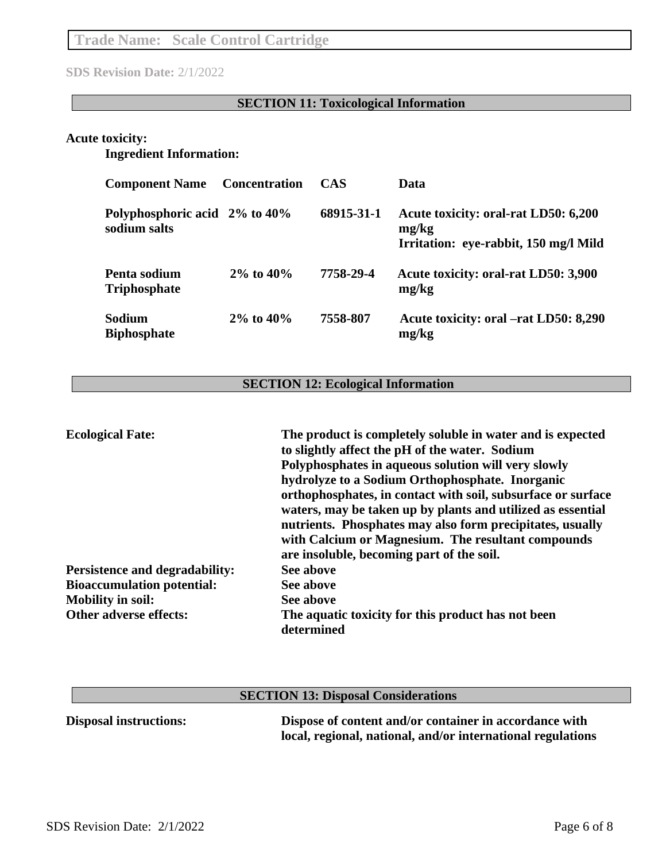## **SECTION 11: Toxicological Information**

## **Acute toxicity:**

## **Ingredient Information:**

| <b>Component Name</b>                         | <b>Concentration</b> | <b>CAS</b> | Data                                                                                   |
|-----------------------------------------------|----------------------|------------|----------------------------------------------------------------------------------------|
| Polyphosphoric acid 2% to 40%<br>sodium salts |                      | 68915-31-1 | Acute toxicity: oral-rat LD50: 6,200<br>mg/kg<br>Irritation: eye-rabbit, 150 mg/l Mild |
| Penta sodium<br><b>Triphosphate</b>           | $2\%$ to $40\%$      | 7758-29-4  | Acute toxicity: oral-rat LD50: 3,900<br>mg/kg                                          |
| Sodium<br><b>Biphosphate</b>                  | $2\%$ to $40\%$      | 7558-807   | Acute toxicity: oral –rat LD50: 8,290<br>mg/kg                                         |

## **SECTION 12: Ecological Information**

| <b>Ecological Fate:</b>               | The product is completely soluble in water and is expected<br>to slightly affect the pH of the water. Sodium<br>Polyphosphates in aqueous solution will very slowly<br>hydrolyze to a Sodium Orthophosphate. Inorganic<br>orthophosphates, in contact with soil, subsurface or surface<br>waters, may be taken up by plants and utilized as essential<br>nutrients. Phosphates may also form precipitates, usually<br>with Calcium or Magnesium. The resultant compounds<br>are insoluble, becoming part of the soil. |
|---------------------------------------|-----------------------------------------------------------------------------------------------------------------------------------------------------------------------------------------------------------------------------------------------------------------------------------------------------------------------------------------------------------------------------------------------------------------------------------------------------------------------------------------------------------------------|
| <b>Persistence and degradability:</b> | See above                                                                                                                                                                                                                                                                                                                                                                                                                                                                                                             |
| <b>Bioaccumulation potential:</b>     | See above                                                                                                                                                                                                                                                                                                                                                                                                                                                                                                             |
| <b>Mobility in soil:</b>              | See above                                                                                                                                                                                                                                                                                                                                                                                                                                                                                                             |
| Other adverse effects:                | The aquatic toxicity for this product has not been<br>determined                                                                                                                                                                                                                                                                                                                                                                                                                                                      |

| <b>SECTION 13: Disposal Considerations</b> |                                                                                                                       |  |
|--------------------------------------------|-----------------------------------------------------------------------------------------------------------------------|--|
| <b>Disposal instructions:</b>              | Dispose of content and/or container in accordance with<br>local, regional, national, and/or international regulations |  |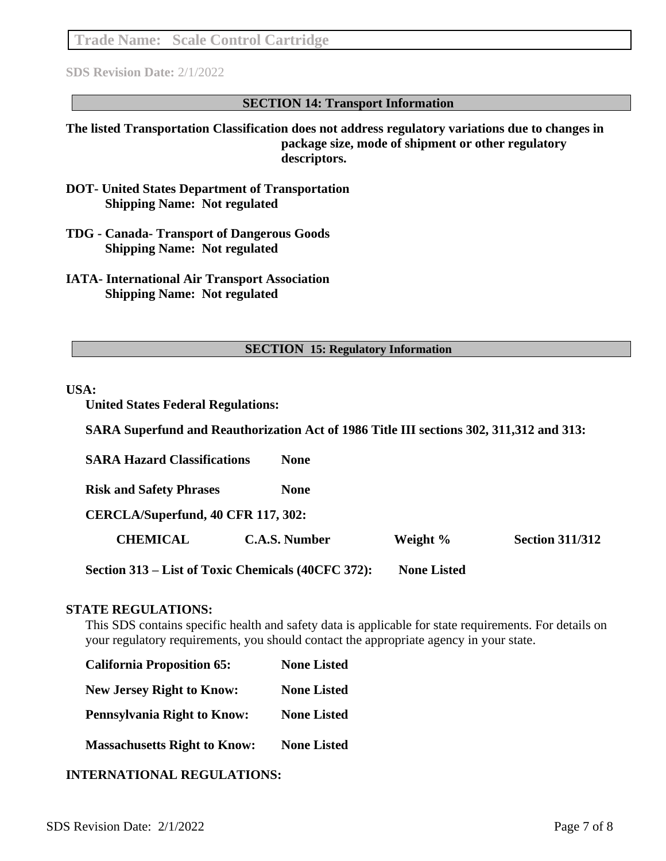**Trade Name: Scale Control Cartridge**

**SDS Revision Date:** 2/1/2022

#### **SECTION 14: Transport Information**

**The listed Transportation Classification does not address regulatory variations due to changes in package size, mode of shipment or other regulatory descriptors.**

- **DOT- United States Department of Transportation Shipping Name: Not regulated**
- **TDG - Canada- Transport of Dangerous Goods Shipping Name: Not regulated**
- **IATA- International Air Transport Association Shipping Name: Not regulated**

#### **SECTION 15: Regulatory Information**

#### **USA:**

**United States Federal Regulations:** 

**SARA Superfund and Reauthorization Act of 1986 Title III sections 302, 311,312 and 313:**

**SARA Hazard Classifications None Risk and Safety Phrases None CERCLA/Superfund, 40 CFR 117, 302: CHEMICAL C.A.S. Number Weight % Section 311/312 Section 313 – List of Toxic Chemicals (40CFC 372): None Listed**

#### **STATE REGULATIONS:**

This SDS contains specific health and safety data is applicable for state requirements. For details on your regulatory requirements, you should contact the appropriate agency in your state.

| <b>California Proposition 65:</b>   | <b>None Listed</b> |  |
|-------------------------------------|--------------------|--|
| <b>New Jersey Right to Know:</b>    | <b>None Listed</b> |  |
| <b>Pennsylvania Right to Know:</b>  | <b>None Listed</b> |  |
| <b>Massachusetts Right to Know:</b> | <b>None Listed</b> |  |

## **INTERNATIONAL REGULATIONS:**